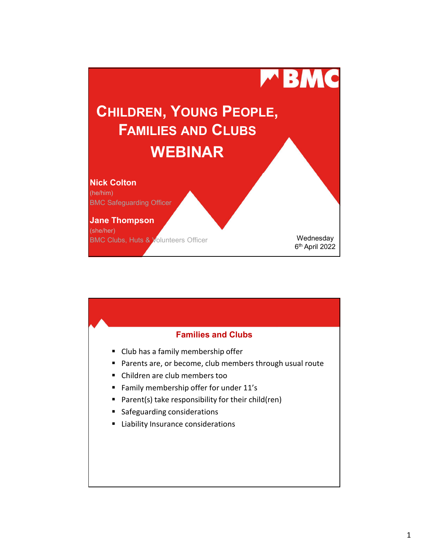

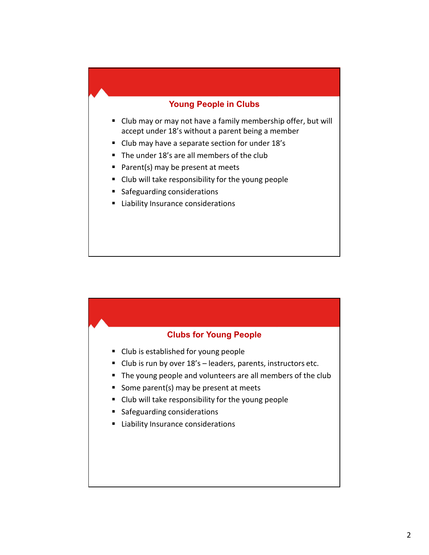## Young People in Clubs

- Club may or may not have a family membership offer, but will accept under 18's without a parent being a member
- **Club may have a separate section for under 18's**
- The under 18's are all members of the club
- Parent(s) may be present at meets
- Club will take responsibility for the young people
- **Safeguarding considerations**
- **E** Liability Insurance considerations

## Clubs for Young People

- Club is established for young people
- 
- Safeguarding considerations<br>
Liability Insurance considerations<br>
Club is established for young people<br>
Club is run by over 18's leaders, parents, instructors etc.<br>
The young people and volunteers are all membe
- Some parent(s) may be present at meets
- Club will take responsibility for the young people
- **Safeguarding considerations**
- **E** Liability Insurance considerations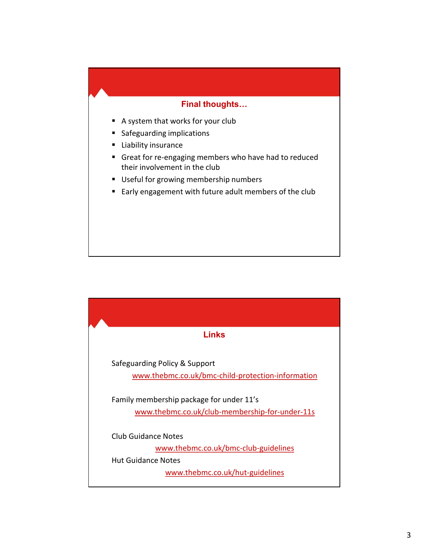## Final thoughts…

- A system that works for your club
- **Safeguarding implications**
- **Liability insurance**
- Great for re-engaging members who have had to reduced their involvement in the club
- Useful for growing membership numbers
- Early engagement with future adult members of the club